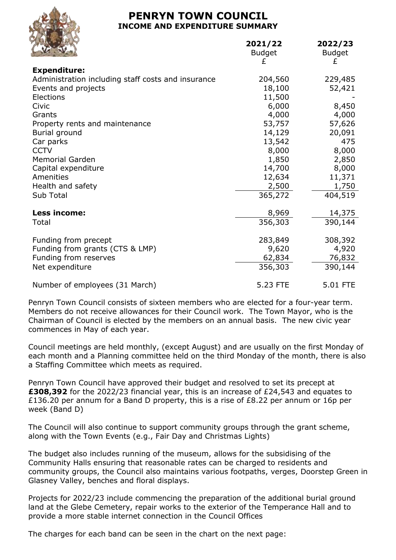## **PENRYN TOWN COUNCIL INCOME AND EXPENDITURE SUMMARY**

**2021/22 2022/23**



|                                                    | <b>Budget</b> | <b>Budget</b> |
|----------------------------------------------------|---------------|---------------|
|                                                    | £             | £             |
| <b>Expenditure:</b>                                |               |               |
| Administration including staff costs and insurance | 204,560       | 229,485       |
| Events and projects                                | 18,100        | 52,421        |
| Elections                                          | 11,500        |               |
| Civic                                              | 6,000         | 8,450         |
| Grants                                             | 4,000         | 4,000         |
| Property rents and maintenance                     | 53,757        | 57,626        |
| Burial ground                                      | 14,129        | 20,091        |
| Car parks                                          | 13,542        | 475           |
| <b>CCTV</b>                                        | 8,000         | 8,000         |
| <b>Memorial Garden</b>                             | 1,850         | 2,850         |
| Capital expenditure                                | 14,700        | 8,000         |
| Amenities                                          | 12,634        | 11,371        |
| Health and safety                                  | 2,500         | 1,750         |
| Sub Total                                          | 365,272       | 404,519       |
|                                                    |               |               |
| Less income:                                       | 8,969         | 14,375        |
| Total                                              | 356,303       | 390,144       |
| Funding from precept                               | 283,849       | 308,392       |
| Funding from grants (CTS & LMP)                    | 9,620         | 4,920         |
| Funding from reserves                              | 62,834        | 76,832        |
| Net expenditure                                    | 356,303       | 390,144       |
| Number of employees (31 March)                     | 5.23 FTE      | 5.01 FTE      |
|                                                    |               |               |

Penryn Town Council consists of sixteen members who are elected for a four-year term. Members do not receive allowances for their Council work. The Town Mayor, who is the Chairman of Council is elected by the members on an annual basis. The new civic year commences in May of each year.

Council meetings are held monthly, (except August) and are usually on the first Monday of each month and a Planning committee held on the third Monday of the month, there is also a Staffing Committee which meets as required.

Penryn Town Council have approved their budget and resolved to set its precept at **£308,392** for the 2022/23 financial year, this is an increase of £24,543 and equates to £136.20 per annum for a Band D property, this is a rise of £8.22 per annum or 16p per week (Band D)

The Council will also continue to support community groups through the grant scheme, along with the Town Events (e.g., Fair Day and Christmas Lights)

The budget also includes running of the museum, allows for the subsidising of the Community Halls ensuring that reasonable rates can be charged to residents and community groups, the Council also maintains various footpaths, verges, Doorstep Green in Glasney Valley, benches and floral displays.

Projects for 2022/23 include commencing the preparation of the additional burial ground land at the Glebe Cemetery, repair works to the exterior of the Temperance Hall and to provide a more stable internet connection in the Council Offices

The charges for each band can be seen in the chart on the next page: